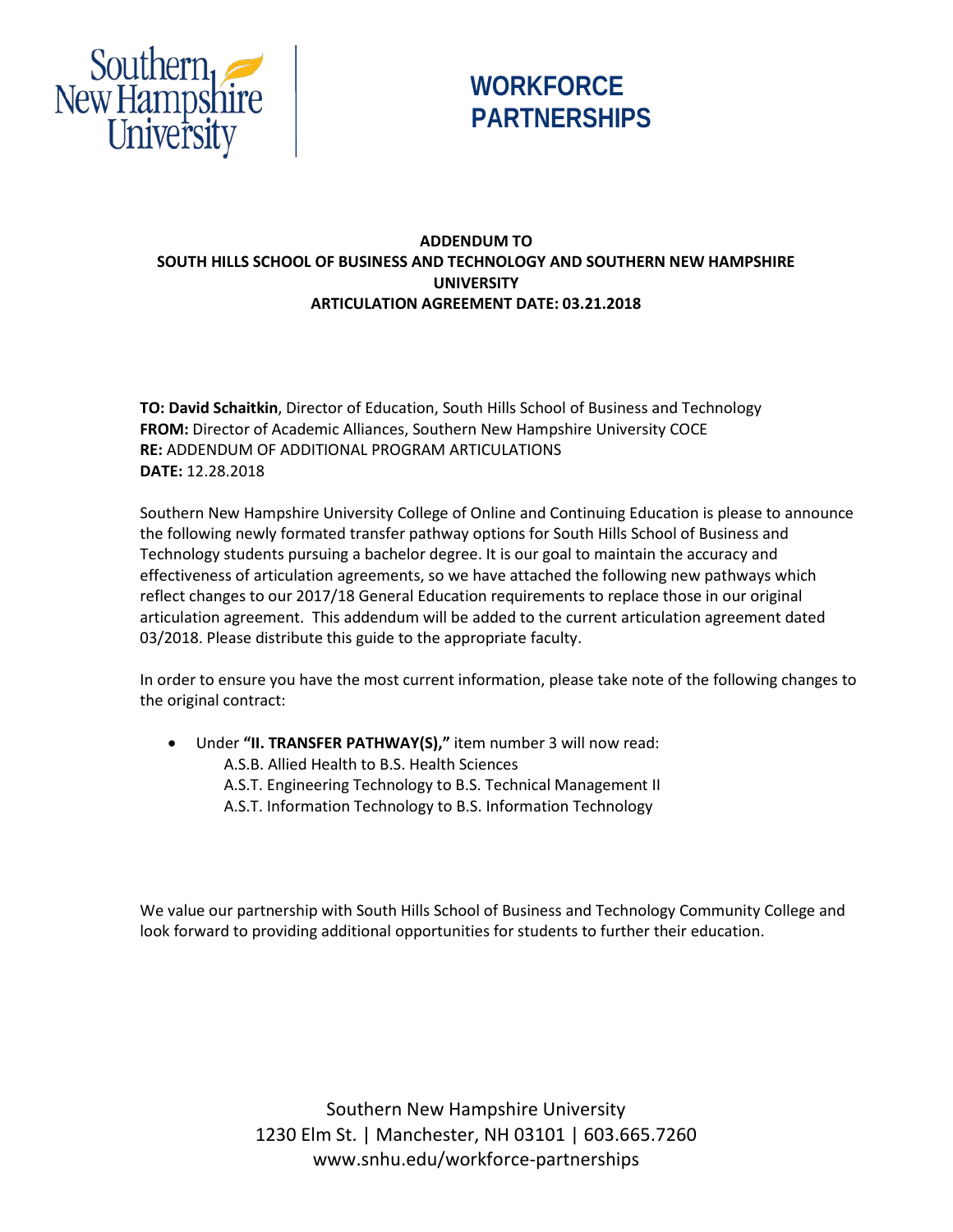



## **ADDENDUM TO SOUTH HILLS SCHOOL OF BUSINESS AND TECHNOLOGY AND SOUTHERN NEW HAMPSHIRE UNIVERSITY ARTICULATION AGREEMENT DATE: 03.21.2018**

**TO: David Schaitkin**, Director of Education, South Hills School of Business and Technology **FROM:** Director of Academic Alliances, Southern New Hampshire University COCE **RE:** ADDENDUM OF ADDITIONAL PROGRAM ARTICULATIONS **DATE:** 12.28.2018

Southern New Hampshire University College of Online and Continuing Education is please to announce the following newly formated transfer pathway options for South Hills School of Business and Technology students pursuing a bachelor degree. It is our goal to maintain the accuracy and effectiveness of articulation agreements, so we have attached the following new pathways which reflect changes to our 2017/18 General Education requirements to replace those in our original articulation agreement. This addendum will be added to the current articulation agreement dated 03/2018. Please distribute this guide to the appropriate faculty.

In order to ensure you have the most current information, please take note of the following changes to the original contract:

- Under **"II. TRANSFER PATHWAY(S),"** item number 3 will now read:
	- A.S.B. Allied Health to B.S. Health Sciences
	- A.S.T. Engineering Technology to B.S. Technical Management II
	- A.S.T. Information Technology to B.S. Information Technology

We value our partnership with South Hills School of Business and Technology Community College and look forward to providing additional opportunities for students to further their education.

> Southern New Hampshire University 1230 Elm St. | Manchester, NH 03101 | 603.665.7260 www.snhu.edu/workforce-partnerships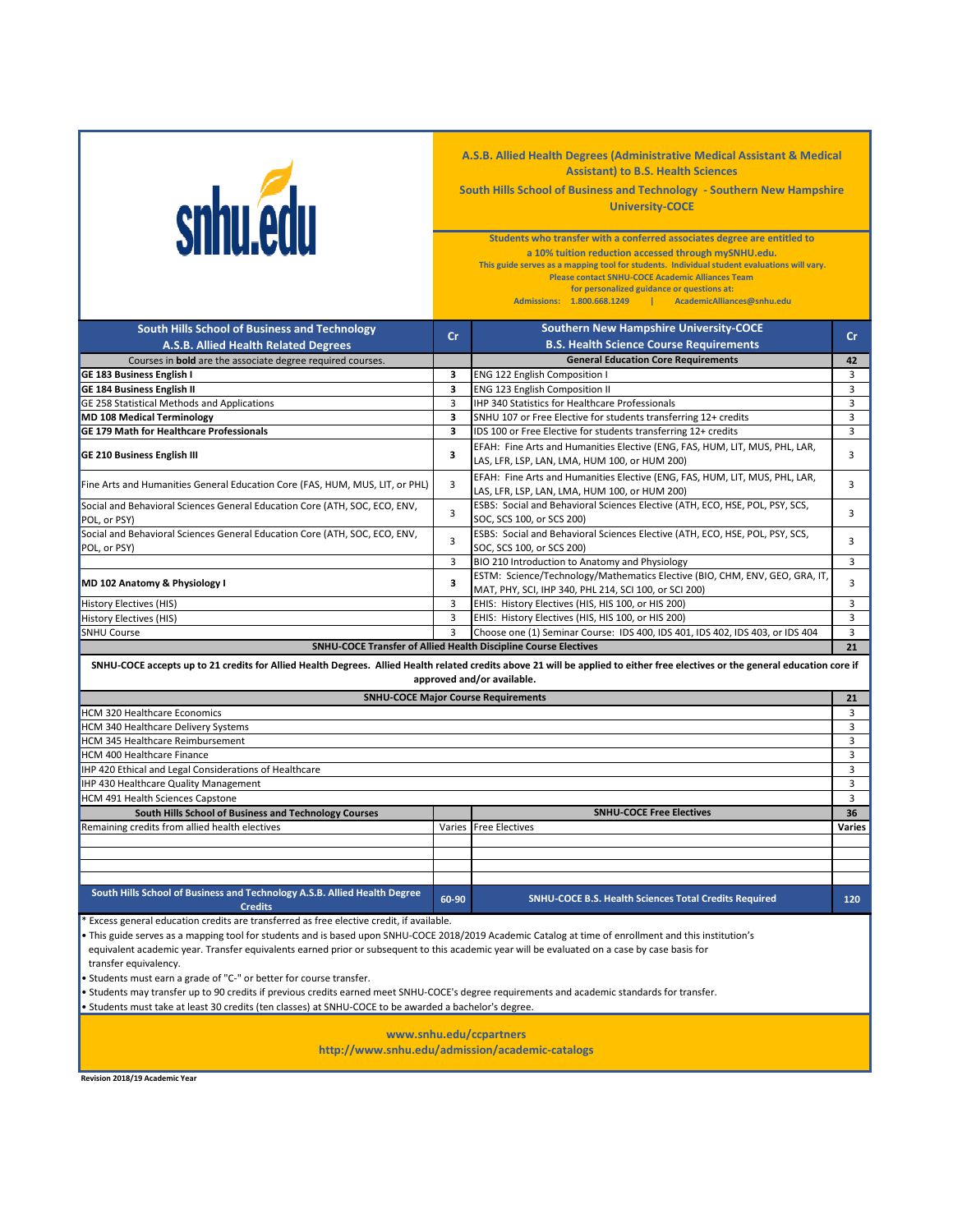| snhu.edu                                                                                                                                                                                                                                                                                                                                                                                                                                                                                                                                                                                                                                                           |        | A.S.B. Allied Health Degrees (Administrative Medical Assistant & Medical<br><b>Assistant) to B.S. Health Sciences</b><br>South Hills School of Business and Technology - Southern New Hampshire<br><b>University-COCE</b>                                                                                                                                                                                              |                      |  |  |
|--------------------------------------------------------------------------------------------------------------------------------------------------------------------------------------------------------------------------------------------------------------------------------------------------------------------------------------------------------------------------------------------------------------------------------------------------------------------------------------------------------------------------------------------------------------------------------------------------------------------------------------------------------------------|--------|------------------------------------------------------------------------------------------------------------------------------------------------------------------------------------------------------------------------------------------------------------------------------------------------------------------------------------------------------------------------------------------------------------------------|----------------------|--|--|
|                                                                                                                                                                                                                                                                                                                                                                                                                                                                                                                                                                                                                                                                    |        | Students who transfer with a conferred associates degree are entitled to<br>a 10% tuition reduction accessed through mySNHU.edu.<br>This guide serves as a mapping tool for students. Individual student evaluations will vary.<br><b>Please contact SNHU-COCE Academic Alliances Team</b><br>for personalized guidance or questions at:<br>Admissions: 1.800.668.1249<br>AcademicAlliances@snhu.edu<br><b>College</b> |                      |  |  |
| South Hills School of Business and Technology                                                                                                                                                                                                                                                                                                                                                                                                                                                                                                                                                                                                                      |        | <b>Southern New Hampshire University-COCE</b>                                                                                                                                                                                                                                                                                                                                                                          |                      |  |  |
| A.S.B. Allied Health Related Degrees                                                                                                                                                                                                                                                                                                                                                                                                                                                                                                                                                                                                                               | cr     | <b>B.S. Health Science Course Requirements</b>                                                                                                                                                                                                                                                                                                                                                                         | cr                   |  |  |
| Courses in bold are the associate degree required courses.                                                                                                                                                                                                                                                                                                                                                                                                                                                                                                                                                                                                         |        | <b>General Education Core Requirements</b>                                                                                                                                                                                                                                                                                                                                                                             | 42                   |  |  |
| GE 183 Business English I                                                                                                                                                                                                                                                                                                                                                                                                                                                                                                                                                                                                                                          | з      | ENG 122 English Composition I                                                                                                                                                                                                                                                                                                                                                                                          | 3                    |  |  |
| <b>GE 184 Business English II</b>                                                                                                                                                                                                                                                                                                                                                                                                                                                                                                                                                                                                                                  | 3      | ENG 123 English Composition II                                                                                                                                                                                                                                                                                                                                                                                         | 3                    |  |  |
| GE 258 Statistical Methods and Applications                                                                                                                                                                                                                                                                                                                                                                                                                                                                                                                                                                                                                        | 3      | IHP 340 Statistics for Healthcare Professionals                                                                                                                                                                                                                                                                                                                                                                        | 3                    |  |  |
| <b>MD 108 Medical Terminology</b>                                                                                                                                                                                                                                                                                                                                                                                                                                                                                                                                                                                                                                  | 3      | SNHU 107 or Free Elective for students transferring 12+ credits                                                                                                                                                                                                                                                                                                                                                        | 3                    |  |  |
| <b>GE 179 Math for Healthcare Professionals</b>                                                                                                                                                                                                                                                                                                                                                                                                                                                                                                                                                                                                                    | 3      | IDS 100 or Free Elective for students transferring 12+ credits                                                                                                                                                                                                                                                                                                                                                         | $\overline{3}$       |  |  |
| <b>GE 210 Business English III</b>                                                                                                                                                                                                                                                                                                                                                                                                                                                                                                                                                                                                                                 | 3      | EFAH: Fine Arts and Humanities Elective (ENG, FAS, HUM, LIT, MUS, PHL, LAR,<br>LAS, LFR, LSP, LAN, LMA, HUM 100, or HUM 200)                                                                                                                                                                                                                                                                                           | 3                    |  |  |
| Fine Arts and Humanities General Education Core (FAS, HUM, MUS, LIT, or PHL)                                                                                                                                                                                                                                                                                                                                                                                                                                                                                                                                                                                       | 3      | EFAH: Fine Arts and Humanities Elective (ENG, FAS, HUM, LIT, MUS, PHL, LAR,<br>LAS, LFR, LSP, LAN, LMA, HUM 100, or HUM 200)                                                                                                                                                                                                                                                                                           | 3                    |  |  |
| Social and Behavioral Sciences General Education Core (ATH, SOC, ECO, ENV,<br>POL, or PSY)                                                                                                                                                                                                                                                                                                                                                                                                                                                                                                                                                                         | 3      | ESBS: Social and Behavioral Sciences Elective (ATH, ECO, HSE, POL, PSY, SCS,<br>SOC, SCS 100, or SCS 200)                                                                                                                                                                                                                                                                                                              | 3                    |  |  |
| Social and Behavioral Sciences General Education Core (ATH, SOC, ECO, ENV,<br>POL, or PSY)                                                                                                                                                                                                                                                                                                                                                                                                                                                                                                                                                                         | 3      | ESBS: Social and Behavioral Sciences Elective (ATH, ECO, HSE, POL, PSY, SCS,<br>SOC, SCS 100, or SCS 200)                                                                                                                                                                                                                                                                                                              | 3                    |  |  |
|                                                                                                                                                                                                                                                                                                                                                                                                                                                                                                                                                                                                                                                                    | 3      | BIO 210 Introduction to Anatomy and Physiology                                                                                                                                                                                                                                                                                                                                                                         | 3                    |  |  |
| MD 102 Anatomy & Physiology I                                                                                                                                                                                                                                                                                                                                                                                                                                                                                                                                                                                                                                      | 3      | ESTM: Science/Technology/Mathematics Elective (BIO, CHM, ENV, GEO, GRA, IT,<br>MAT, PHY, SCI, IHP 340, PHL 214, SCI 100, or SCI 200)                                                                                                                                                                                                                                                                                   | 3                    |  |  |
| History Electives (HIS)                                                                                                                                                                                                                                                                                                                                                                                                                                                                                                                                                                                                                                            | 3<br>3 | EHIS: History Electives (HIS, HIS 100, or HIS 200)                                                                                                                                                                                                                                                                                                                                                                     | 3<br>3               |  |  |
| History Electives (HIS)<br><b>SNHU Course</b>                                                                                                                                                                                                                                                                                                                                                                                                                                                                                                                                                                                                                      | 3      | EHIS: History Electives (HIS, HIS 100, or HIS 200)<br>Choose one (1) Seminar Course: IDS 400, IDS 401, IDS 402, IDS 403, or IDS 404                                                                                                                                                                                                                                                                                    | $\overline{3}$       |  |  |
|                                                                                                                                                                                                                                                                                                                                                                                                                                                                                                                                                                                                                                                                    |        | SNHU-COCE Transfer of Allied Health Discipline Course Electives                                                                                                                                                                                                                                                                                                                                                        | 21                   |  |  |
|                                                                                                                                                                                                                                                                                                                                                                                                                                                                                                                                                                                                                                                                    |        | SNHU-COCE accepts up to 21 credits for Allied Health Degrees. Allied Health related credits above 21 will be applied to either free electives or the general education core if<br>approved and/or available.<br><b>SNHU-COCE Major Course Requirements</b>                                                                                                                                                             | 21                   |  |  |
| <b>HCM 320 Healthcare Economics</b>                                                                                                                                                                                                                                                                                                                                                                                                                                                                                                                                                                                                                                |        |                                                                                                                                                                                                                                                                                                                                                                                                                        | 3                    |  |  |
| HCM 340 Healthcare Delivery Systems                                                                                                                                                                                                                                                                                                                                                                                                                                                                                                                                                                                                                                |        |                                                                                                                                                                                                                                                                                                                                                                                                                        | 3                    |  |  |
| HCM 345 Healthcare Reimbursement                                                                                                                                                                                                                                                                                                                                                                                                                                                                                                                                                                                                                                   |        |                                                                                                                                                                                                                                                                                                                                                                                                                        | 3                    |  |  |
| <b>HCM 400 Healthcare Finance</b>                                                                                                                                                                                                                                                                                                                                                                                                                                                                                                                                                                                                                                  |        |                                                                                                                                                                                                                                                                                                                                                                                                                        | 3                    |  |  |
| IHP 420 Ethical and Legal Considerations of Healthcare                                                                                                                                                                                                                                                                                                                                                                                                                                                                                                                                                                                                             |        |                                                                                                                                                                                                                                                                                                                                                                                                                        | 3                    |  |  |
| IHP 430 Healthcare Quality Management                                                                                                                                                                                                                                                                                                                                                                                                                                                                                                                                                                                                                              |        |                                                                                                                                                                                                                                                                                                                                                                                                                        | 3                    |  |  |
| HCM 491 Health Sciences Capstone<br>South Hills School of Business and Technology Courses                                                                                                                                                                                                                                                                                                                                                                                                                                                                                                                                                                          |        | <b>SNHU-COCE Free Electives</b>                                                                                                                                                                                                                                                                                                                                                                                        | $\overline{3}$<br>36 |  |  |
| Remaining credits from allied health electives                                                                                                                                                                                                                                                                                                                                                                                                                                                                                                                                                                                                                     |        | Varies Free Electives                                                                                                                                                                                                                                                                                                                                                                                                  | Varies               |  |  |
|                                                                                                                                                                                                                                                                                                                                                                                                                                                                                                                                                                                                                                                                    |        |                                                                                                                                                                                                                                                                                                                                                                                                                        |                      |  |  |
|                                                                                                                                                                                                                                                                                                                                                                                                                                                                                                                                                                                                                                                                    |        |                                                                                                                                                                                                                                                                                                                                                                                                                        |                      |  |  |
| South Hills School of Business and Technology A.S.B. Allied Health Degree                                                                                                                                                                                                                                                                                                                                                                                                                                                                                                                                                                                          | 60-90  | <b>SNHU-COCE B.S. Health Sciences Total Credits Required</b>                                                                                                                                                                                                                                                                                                                                                           | 120                  |  |  |
| <b>Credits</b><br>Excess general education credits are transferred as free elective credit, if available.                                                                                                                                                                                                                                                                                                                                                                                                                                                                                                                                                          |        |                                                                                                                                                                                                                                                                                                                                                                                                                        |                      |  |  |
| . This guide serves as a mapping tool for students and is based upon SNHU-COCE 2018/2019 Academic Catalog at time of enrollment and this institution's<br>equivalent academic year. Transfer equivalents earned prior or subsequent to this academic year will be evaluated on a case by case basis for<br>transfer equivalency.<br>. Students must earn a grade of "C-" or better for course transfer.<br>. Students may transfer up to 90 credits if previous credits earned meet SNHU-COCE's degree requirements and academic standards for transfer.<br>. Students must take at least 30 credits (ten classes) at SNHU-COCE to be awarded a bachelor's degree. |        |                                                                                                                                                                                                                                                                                                                                                                                                                        |                      |  |  |
|                                                                                                                                                                                                                                                                                                                                                                                                                                                                                                                                                                                                                                                                    |        |                                                                                                                                                                                                                                                                                                                                                                                                                        |                      |  |  |

**www.snhu.edu/ccpartners**

**http://www.snhu.edu/admission/academic-catalogs**

**Revision 2018/19 Academic Year**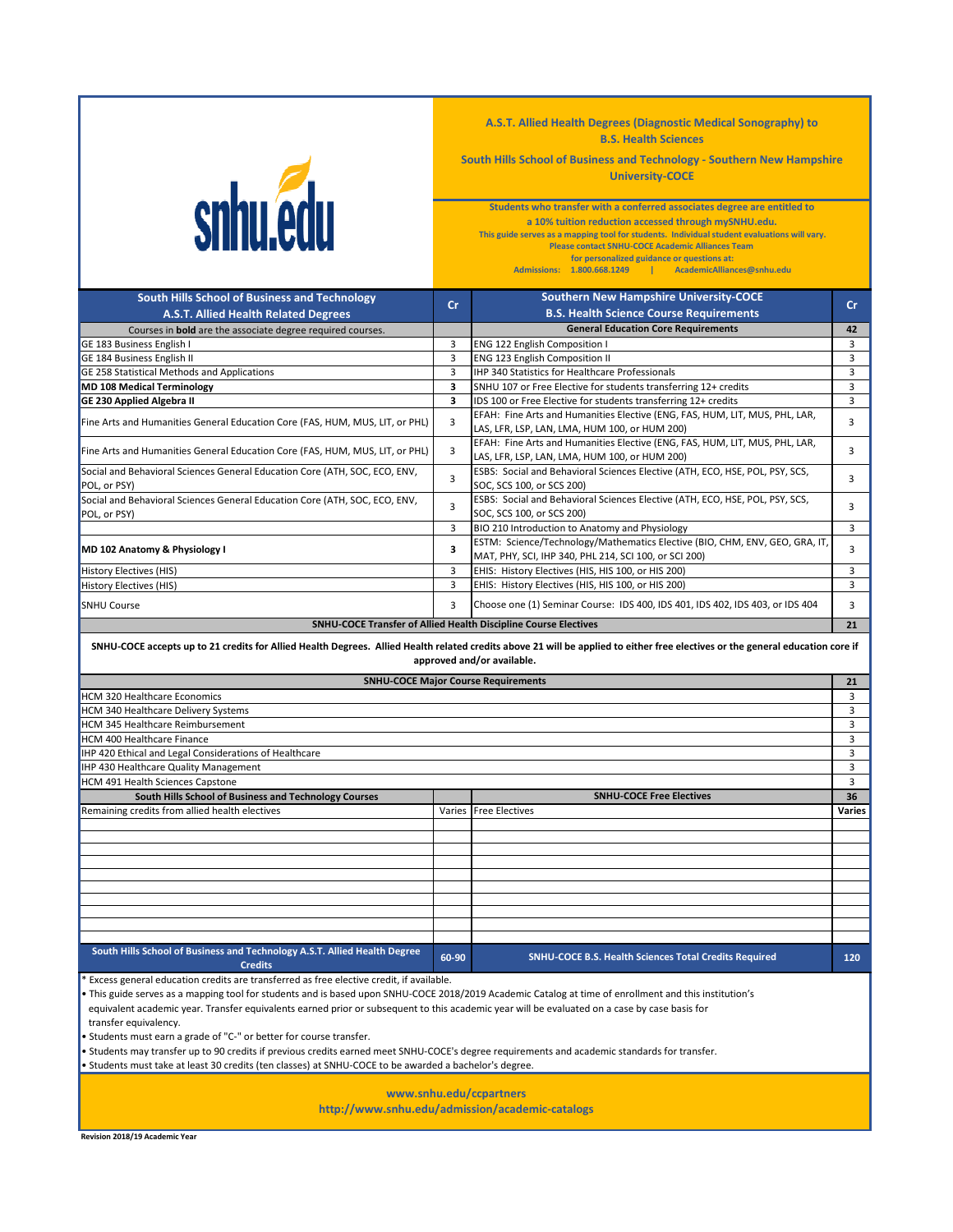

**A.S.T. Allied Health Degrees (Diagnostic Medical Sonography) to B.S. Health Sciences**

**South Hills School of Business and Technology - Southern New Hampshire University-COCE**

**for personalized guidance or questions at: Please contact SNHU-COCE Academic Alliances Team Students who transfer with a conferred associates degree are entitled to a 10% tuition reduction accessed through mySNHU.edu. This guide serves as a mapping tool for students. Individual student evaluations will vary.**

**Admissions: 1.800.668.1249 | AcademicAlliances@snhu.edu**

| South Hills School of Business and Technology                                               | cr    | <b>Southern New Hampshire University-COCE</b>                                                                                                                                                                | cr     |
|---------------------------------------------------------------------------------------------|-------|--------------------------------------------------------------------------------------------------------------------------------------------------------------------------------------------------------------|--------|
| A.S.T. Allied Health Related Degrees                                                        |       | <b>B.S. Health Science Course Requirements</b>                                                                                                                                                               |        |
| Courses in <b>bold</b> are the associate degree required courses.                           |       | <b>General Education Core Requirements</b>                                                                                                                                                                   | 42     |
| GE 183 Business English I                                                                   | 3     | ENG 122 English Composition I                                                                                                                                                                                | 3      |
| GE 184 Business English II                                                                  | 3     | ENG 123 English Composition II                                                                                                                                                                               | 3      |
| GE 258 Statistical Methods and Applications                                                 | 3     | IHP 340 Statistics for Healthcare Professionals                                                                                                                                                              | 3      |
| <b>MD 108 Medical Terminology</b>                                                           | 3     | SNHU 107 or Free Elective for students transferring 12+ credits                                                                                                                                              | 3      |
| <b>GE 230 Applied Algebra II</b>                                                            | 3     | IDS 100 or Free Elective for students transferring 12+ credits                                                                                                                                               | 3      |
| Fine Arts and Humanities General Education Core (FAS, HUM, MUS, LIT, or PHL)                | 3     | EFAH: Fine Arts and Humanities Elective (ENG, FAS, HUM, LIT, MUS, PHL, LAR,<br>LAS, LFR, LSP, LAN, LMA, HUM 100, or HUM 200)                                                                                 | 3      |
| Fine Arts and Humanities General Education Core (FAS, HUM, MUS, LIT, or PHL)                | 3     | EFAH: Fine Arts and Humanities Elective (ENG, FAS, HUM, LIT, MUS, PHL, LAR,<br>LAS, LFR, LSP, LAN, LMA, HUM 100, or HUM 200)                                                                                 | 3      |
| Social and Behavioral Sciences General Education Core (ATH, SOC, ECO, ENV,<br>POL, or PSY)  | 3     | ESBS: Social and Behavioral Sciences Elective (ATH, ECO, HSE, POL, PSY, SCS,<br>SOC, SCS 100, or SCS 200)                                                                                                    | 3      |
| Social and Behavioral Sciences General Education Core (ATH, SOC, ECO, ENV,<br>POL. or PSY)  | 3     | ESBS: Social and Behavioral Sciences Elective (ATH, ECO, HSE, POL, PSY, SCS,<br>SOC. SCS 100. or SCS 200)                                                                                                    | 3      |
|                                                                                             | 3     | BIO 210 Introduction to Anatomy and Physiology                                                                                                                                                               | 3      |
| MD 102 Anatomy & Physiology I                                                               | 3     | ESTM: Science/Technology/Mathematics Elective (BIO, CHM, ENV, GEO, GRA, IT,<br>MAT, PHY, SCI, IHP 340, PHL 214, SCI 100, or SCI 200)                                                                         | 3      |
| History Electives (HIS)                                                                     | 3     | EHIS: History Electives (HIS, HIS 100, or HIS 200)                                                                                                                                                           | 3      |
| <b>History Electives (HIS)</b>                                                              | 3     | EHIS: History Electives (HIS, HIS 100, or HIS 200)                                                                                                                                                           | 3      |
| <b>SNHU Course</b>                                                                          | 3     | Choose one (1) Seminar Course: IDS 400, IDS 401, IDS 402, IDS 403, or IDS 404                                                                                                                                | 3      |
|                                                                                             |       | SNHU-COCE Transfer of Allied Health Discipline Course Electives                                                                                                                                              | 21     |
|                                                                                             |       | SNHU-COCE accepts up to 21 credits for Allied Health Degrees. Allied Health related credits above 21 will be applied to either free electives or the general education core if<br>approved and/or available. |        |
|                                                                                             |       | <b>SNHU-COCE Major Course Requirements</b>                                                                                                                                                                   | 21     |
| <b>HCM 320 Healthcare Economics</b>                                                         |       |                                                                                                                                                                                                              | 3      |
| HCM 340 Healthcare Delivery Systems                                                         |       |                                                                                                                                                                                                              | 3      |
| HCM 345 Healthcare Reimbursement                                                            |       |                                                                                                                                                                                                              | 3      |
| <b>HCM 400 Healthcare Finance</b>                                                           |       |                                                                                                                                                                                                              | 3      |
| IHP 420 Ethical and Legal Considerations of Healthcare                                      |       |                                                                                                                                                                                                              | 3      |
| IHP 430 Healthcare Quality Management                                                       |       |                                                                                                                                                                                                              | 3      |
| HCM 491 Health Sciences Capstone                                                            |       |                                                                                                                                                                                                              | 3      |
| South Hills School of Business and Technology Courses                                       |       | <b>SNHU-COCE Free Electives</b>                                                                                                                                                                              | 36     |
| Remaining credits from allied health electives                                              |       | Varies Free Electives                                                                                                                                                                                        | Varies |
|                                                                                             |       |                                                                                                                                                                                                              |        |
|                                                                                             |       |                                                                                                                                                                                                              |        |
|                                                                                             |       |                                                                                                                                                                                                              |        |
|                                                                                             |       |                                                                                                                                                                                                              |        |
|                                                                                             |       |                                                                                                                                                                                                              |        |
|                                                                                             |       |                                                                                                                                                                                                              |        |
|                                                                                             |       |                                                                                                                                                                                                              |        |
|                                                                                             |       |                                                                                                                                                                                                              |        |
| South Hills School of Business and Technology A.S.T. Allied Health Degree<br><b>Credits</b> | 60-90 | <b>SNHU-COCE B.S. Health Sciences Total Credits Required</b>                                                                                                                                                 | 120    |

Excess general education credits are transferred as free elective credit, if available.

• This guide serves as a mapping tool for students and is based upon SNHU-COCE 2018/2019 Academic Catalog at time of enrollment and this institution's

equivalent academic year. Transfer equivalents earned prior or subsequent to this academic year will be evaluated on a case by case basis for

transfer equivalency.

• Students must earn a grade of "C-" or better for course transfer.

• Students may transfer up to 90 credits if previous credits earned meet SNHU-COCE's degree requirements and academic standards for transfer.

• Students must take at least 30 credits (ten classes) at SNHU-COCE to be awarded a bachelor's degree.

**www.snhu.edu/ccpartners**

**http://www.snhu.edu/admission/academic-catalogs**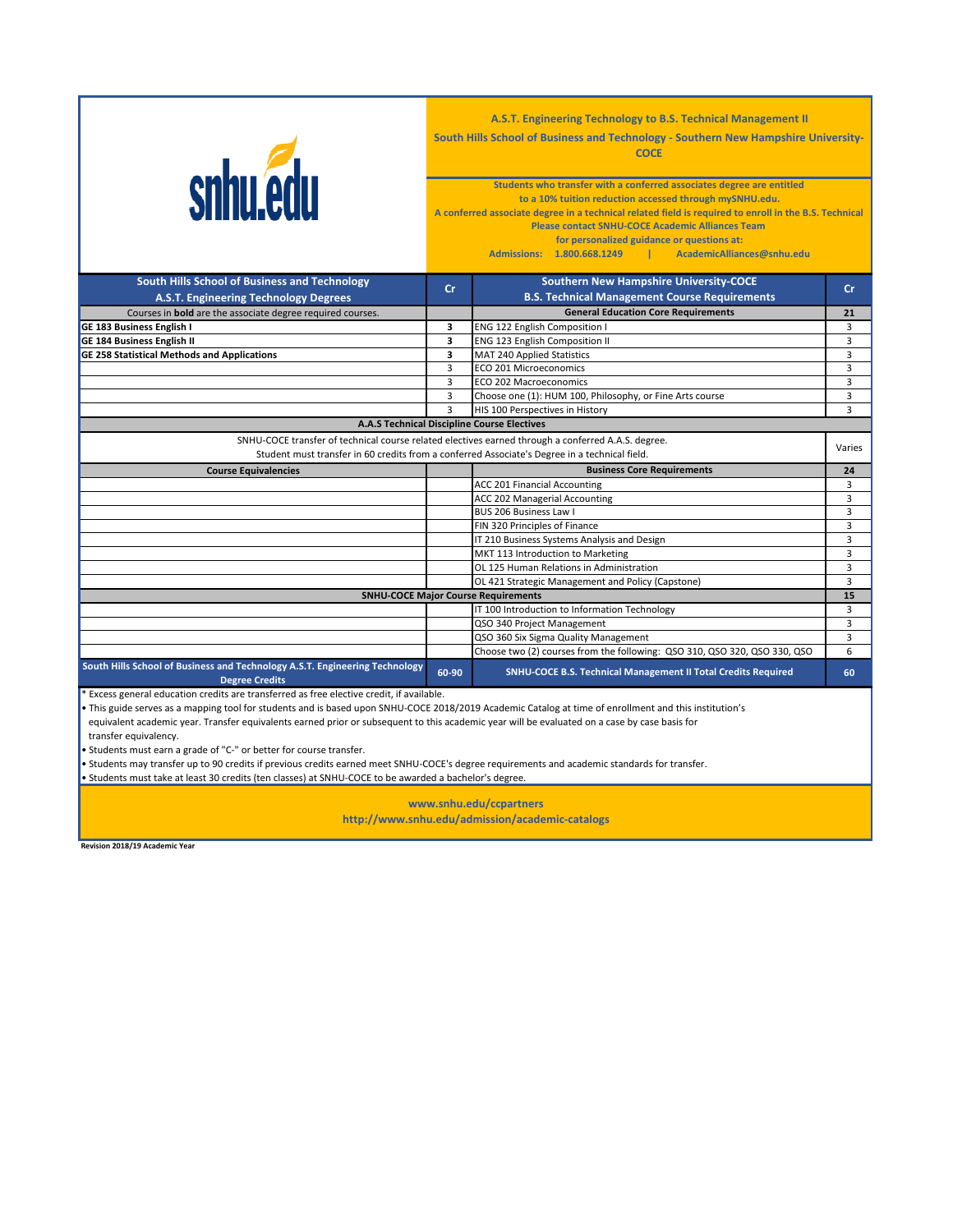| <b>snhu.edu</b>                                                                                                                                                                                     | A.S.T. Engineering Technology to B.S. Technical Management II<br>South Hills School of Business and Technology - Southern New Hampshire University-<br><b>COCE</b><br>Students who transfer with a conferred associates degree are entitled<br>to a 10% tuition reduction accessed through mySNHU.edu.<br>A conferred associate degree in a technical related field is required to enroll in the B.S. Technical<br><b>Please contact SNHU-COCE Academic Alliances Team</b><br>for personalized guidance or questions at:<br>Admissions: 1.800.668.1249  <br>AcademicAlliances@snhu.edu |                                                                           |                     |  |
|-----------------------------------------------------------------------------------------------------------------------------------------------------------------------------------------------------|----------------------------------------------------------------------------------------------------------------------------------------------------------------------------------------------------------------------------------------------------------------------------------------------------------------------------------------------------------------------------------------------------------------------------------------------------------------------------------------------------------------------------------------------------------------------------------------|---------------------------------------------------------------------------|---------------------|--|
| South Hills School of Business and Technology                                                                                                                                                       | cr                                                                                                                                                                                                                                                                                                                                                                                                                                                                                                                                                                                     | <b>Southern New Hampshire University-COCE</b>                             | Cr.                 |  |
| A.S.T. Engineering Technology Degrees                                                                                                                                                               |                                                                                                                                                                                                                                                                                                                                                                                                                                                                                                                                                                                        | <b>B.S. Technical Management Course Requirements</b>                      |                     |  |
| Courses in <b>bold</b> are the associate degree required courses.                                                                                                                                   |                                                                                                                                                                                                                                                                                                                                                                                                                                                                                                                                                                                        | <b>General Education Core Requirements</b>                                | 21                  |  |
| GE 183 Business English I<br>GE 184 Business English II                                                                                                                                             | 3<br>3                                                                                                                                                                                                                                                                                                                                                                                                                                                                                                                                                                                 | ENG 122 English Composition I<br>ENG 123 English Composition II           | 3<br>$\overline{3}$ |  |
| <b>GE 258 Statistical Methods and Applications</b>                                                                                                                                                  | 3                                                                                                                                                                                                                                                                                                                                                                                                                                                                                                                                                                                      | MAT 240 Applied Statistics                                                | 3                   |  |
|                                                                                                                                                                                                     | $\overline{3}$                                                                                                                                                                                                                                                                                                                                                                                                                                                                                                                                                                         | ECO 201 Microeconomics                                                    | 3                   |  |
|                                                                                                                                                                                                     | $\overline{3}$                                                                                                                                                                                                                                                                                                                                                                                                                                                                                                                                                                         | ECO 202 Macroeconomics                                                    | 3                   |  |
|                                                                                                                                                                                                     | 3                                                                                                                                                                                                                                                                                                                                                                                                                                                                                                                                                                                      | Choose one (1): HUM 100, Philosophy, or Fine Arts course                  | 3                   |  |
|                                                                                                                                                                                                     | $\mathbf{R}$                                                                                                                                                                                                                                                                                                                                                                                                                                                                                                                                                                           | HIS 100 Perspectives in History                                           | 3                   |  |
|                                                                                                                                                                                                     |                                                                                                                                                                                                                                                                                                                                                                                                                                                                                                                                                                                        | <b>A.A.S Technical Discipline Course Electives</b>                        |                     |  |
|                                                                                                                                                                                                     |                                                                                                                                                                                                                                                                                                                                                                                                                                                                                                                                                                                        |                                                                           |                     |  |
| SNHU-COCE transfer of technical course related electives earned through a conferred A.A.S. degree.<br>Student must transfer in 60 credits from a conferred Associate's Degree in a technical field. |                                                                                                                                                                                                                                                                                                                                                                                                                                                                                                                                                                                        |                                                                           | Varies              |  |
| <b>Course Equivalencies</b>                                                                                                                                                                         |                                                                                                                                                                                                                                                                                                                                                                                                                                                                                                                                                                                        | <b>Business Core Requirements</b>                                         | 24                  |  |
|                                                                                                                                                                                                     |                                                                                                                                                                                                                                                                                                                                                                                                                                                                                                                                                                                        | ACC 201 Financial Accounting                                              | 3                   |  |
|                                                                                                                                                                                                     |                                                                                                                                                                                                                                                                                                                                                                                                                                                                                                                                                                                        | ACC 202 Managerial Accounting                                             | 3                   |  |
|                                                                                                                                                                                                     |                                                                                                                                                                                                                                                                                                                                                                                                                                                                                                                                                                                        | BUS 206 Business Law I                                                    | 3                   |  |
|                                                                                                                                                                                                     |                                                                                                                                                                                                                                                                                                                                                                                                                                                                                                                                                                                        | FIN 320 Principles of Finance                                             | 3                   |  |
|                                                                                                                                                                                                     |                                                                                                                                                                                                                                                                                                                                                                                                                                                                                                                                                                                        | IT 210 Business Systems Analysis and Design                               | 3                   |  |
|                                                                                                                                                                                                     |                                                                                                                                                                                                                                                                                                                                                                                                                                                                                                                                                                                        | MKT 113 Introduction to Marketing                                         | 3                   |  |
|                                                                                                                                                                                                     |                                                                                                                                                                                                                                                                                                                                                                                                                                                                                                                                                                                        | OL 125 Human Relations in Administration                                  | 3                   |  |
|                                                                                                                                                                                                     |                                                                                                                                                                                                                                                                                                                                                                                                                                                                                                                                                                                        | OL 421 Strategic Management and Policy (Capstone)                         | $\overline{3}$      |  |
|                                                                                                                                                                                                     |                                                                                                                                                                                                                                                                                                                                                                                                                                                                                                                                                                                        | <b>SNHU-COCE Major Course Requirements</b>                                | 15                  |  |
|                                                                                                                                                                                                     |                                                                                                                                                                                                                                                                                                                                                                                                                                                                                                                                                                                        | IT 100 Introduction to Information Technology                             | 3                   |  |
|                                                                                                                                                                                                     |                                                                                                                                                                                                                                                                                                                                                                                                                                                                                                                                                                                        | QSO 340 Project Management                                                | 3                   |  |
|                                                                                                                                                                                                     |                                                                                                                                                                                                                                                                                                                                                                                                                                                                                                                                                                                        | QSO 360 Six Sigma Quality Management                                      | 3                   |  |
|                                                                                                                                                                                                     |                                                                                                                                                                                                                                                                                                                                                                                                                                                                                                                                                                                        | Choose two (2) courses from the following: QSO 310, QSO 320, QSO 330, QSO | 6                   |  |
| South Hills School of Business and Technology A.S.T. Engineering Technology<br><b>Degree Credits</b>                                                                                                | 60-90                                                                                                                                                                                                                                                                                                                                                                                                                                                                                                                                                                                  | SNHU-COCE B.S. Technical Management II Total Credits Required             | 60                  |  |
| * Excess general education credits are transferred as free elective credit, if available.                                                                                                           |                                                                                                                                                                                                                                                                                                                                                                                                                                                                                                                                                                                        |                                                                           |                     |  |

• This guide serves as a mapping tool for students and is based upon SNHU-COCE 2018/2019 Academic Catalog at time of enrollment and this institution's

equivalent academic year. Transfer equivalents earned prior or subsequent to this academic year will be evaluated on a case by case basis for

transfer equivalency.

• Students must earn a grade of "C-" or better for course transfer.

• Students may transfer up to 90 credits if previous credits earned meet SNHU-COCE's degree requirements and academic standards for transfer.

• Students must take at least 30 credits (ten classes) at SNHU-COCE to be awarded a bachelor's degree.

**http://www.snhu.edu/admission/academic-catalogs www.snhu.edu/ccpartners**

**Revision 2018/19 Academic Year**